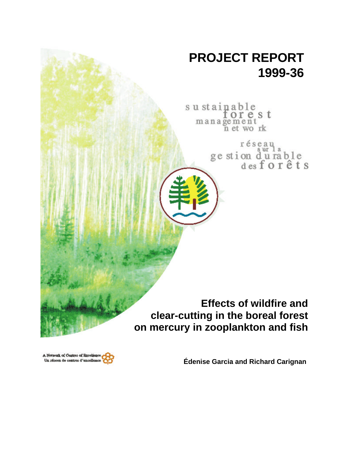# **PROJECT REPORT 1999-36**

sustainable<br>for e s t management<br>n et work

> réseau ge stion du rable<br>desforêts

**Effects of wildfire and clear-cutting in the boreal forest on mercury in zooplankton and fish**

A Network of Centres of Breeklence Un réseau de centres d'excellence

**Édenise Garcia and Richard Carignan**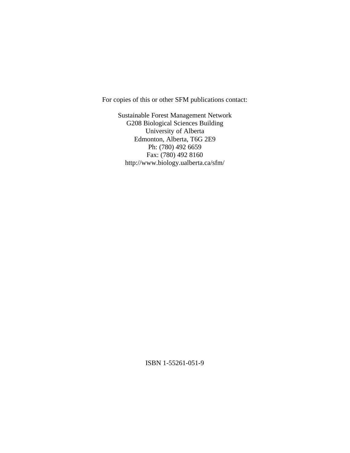For copies of this or other SFM publications contact:

Sustainable Forest Management Network G208 Biological Sciences Building University of Alberta Edmonton, Alberta, T6G 2E9 Ph: (780) 492 6659 Fax: (780) 492 8160 http://www.biology.ualberta.ca/sfm/

ISBN 1-55261-051-9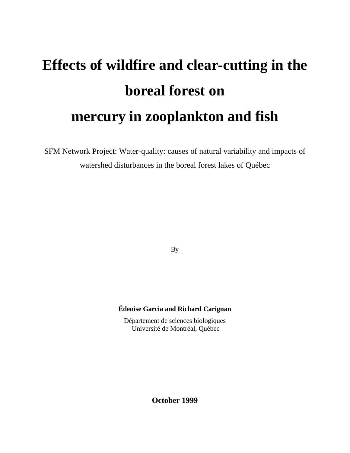# **Effects of wildfire and clear-cutting in the boreal forest on mercury in zooplankton and fish**

SFM Network Project: Water-quality: causes of natural variability and impacts of watershed disturbances in the boreal forest lakes of Québec

By

# **Édenise Garcia and Richard Carignan**

Département de sciences biologiques Université de Montréal, Québec

**October 1999**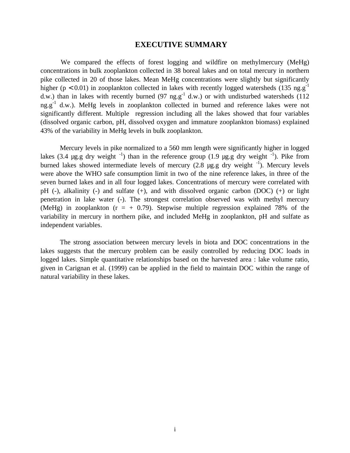# **EXECUTIVE SUMMARY**

We compared the effects of forest logging and wildfire on methylmercury (MeHg) concentrations in bulk zooplankton collected in 38 boreal lakes and on total mercury in northern pike collected in 20 of those lakes. Mean MeHg concentrations were slightly but significantly higher ( $p < 0.01$ ) in zooplankton collected in lakes with recently logged watersheds (135 ng.g<sup>-1</sup> d.w.) than in lakes with recently burned (97 ng.g<sup>-1</sup> d.w.) or with undisturbed watersheds (112 ng.g<sup>-1</sup> d.w.). MeHg levels in zooplankton collected in burned and reference lakes were not significantly different. Multiple regression including all the lakes showed that four variables (dissolved organic carbon, pH, dissolved oxygen and immature zooplankton biomass) explained 43% of the variability in MeHg levels in bulk zooplankton.

Mercury levels in pike normalized to a 560 mm length were significantly higher in logged lakes (3.4 µg.g dry weight  $^{-1}$ ) than in the reference group (1.9 µg.g dry weight  $^{-1}$ ). Pike from burned lakes showed intermediate levels of mercury  $(2.8 \text{ µg.g} \, \text{dry weight}^{-1})$ . Mercury levels were above the WHO safe consumption limit in two of the nine reference lakes, in three of the seven burned lakes and in all four logged lakes. Concentrations of mercury were correlated with pH (-), alkalinity (-) and sulfate (+), and with dissolved organic carbon (DOC) (+) or light penetration in lake water (-). The strongest correlation observed was with methyl mercury (MeHg) in zooplankton  $(r = + 0.79)$ . Stepwise multiple regression explained 78% of the variability in mercury in northern pike, and included MeHg in zooplankton, pH and sulfate as independent variables.

The strong association between mercury levels in biota and DOC concentrations in the lakes suggests that the mercury problem can be easily controlled by reducing DOC loads in logged lakes. Simple quantitative relationships based on the harvested area : lake volume ratio, given in Carignan et al. (1999) can be applied in the field to maintain DOC within the range of natural variability in these lakes.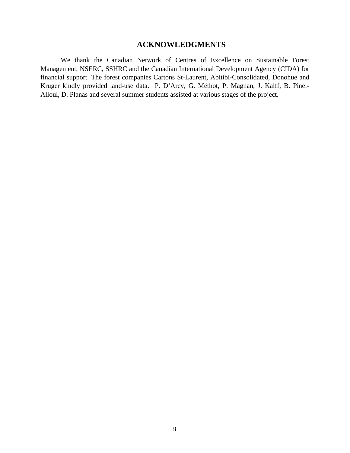# **ACKNOWLEDGMENTS**

We thank the Canadian Network of Centres of Excellence on Sustainable Forest Management, NSERC, SSHRC and the Canadian International Development Agency (CIDA) for financial support. The forest companies Cartons St-Laurent, Abitibi-Consolidated, Donohue and Kruger kindly provided land-use data. P. D'Arcy, G. Méthot, P. Magnan, J. Kalff, B. Pinel-Alloul, D. Planas and several summer students assisted at various stages of the project.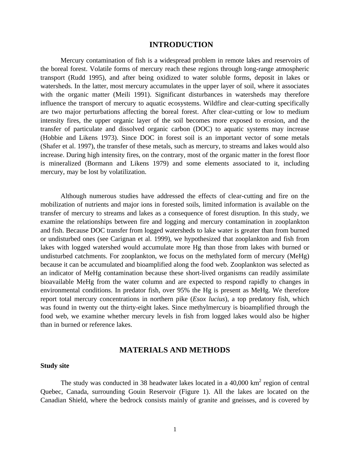# **INTRODUCTION**

Mercury contamination of fish is a widespread problem in remote lakes and reservoirs of the boreal forest. Volatile forms of mercury reach these regions through long-range atmospheric transport (Rudd 1995), and after being oxidized to water soluble forms, deposit in lakes or watersheds. In the latter, most mercury accumulates in the upper layer of soil, where it associates with the organic matter (Meili 1991). Significant disturbances in watersheds may therefore influence the transport of mercury to aquatic ecosystems. Wildfire and clear-cutting specifically are two major perturbations affecting the boreal forest. After clear-cutting or low to medium intensity fires, the upper organic layer of the soil becomes more exposed to erosion, and the transfer of particulate and dissolved organic carbon (DOC) to aquatic systems may increase (Hobbie and Likens 1973). Since DOC in forest soil is an important vector of some metals (Shafer et al. 1997), the transfer of these metals, such as mercury, to streams and lakes would also increase. During high intensity fires, on the contrary, most of the organic matter in the forest floor is mineralized (Bormann and Likens 1979) and some elements associated to it, including mercury, may be lost by volatilization.

Although numerous studies have addressed the effects of clear-cutting and fire on the mobilization of nutrients and major ions in forested soils, limited information is available on the transfer of mercury to streams and lakes as a consequence of forest disruption. In this study, we examine the relationships between fire and logging and mercury contamination in zooplankton and fish. Because DOC transfer from logged watersheds to lake water is greater than from burned or undisturbed ones (see Carignan et al. 1999), we hypothesized that zooplankton and fish from lakes with logged watershed would accumulate more Hg than those from lakes with burned or undisturbed catchments. For zooplankton, we focus on the methylated form of mercury (MeHg) because it can be accumulated and bioamplified along the food web. Zooplankton was selected as an indicator of MeHg contamination because these short-lived organisms can readily assimilate bioavailable MeHg from the water column and are expected to respond rapidly to changes in environmental conditions. In predator fish, over 95% the Hg is present as MeHg. We therefore report total mercury concentrations in northern pike (*Esox lucius*), a top predatory fish, which was found in twenty out the thirty-eight lakes. Since methylmercury is bioamplified through the food web, we examine whether mercury levels in fish from logged lakes would also be higher than in burned or reference lakes.

# **MATERIALS AND METHODS**

# **Study site**

The study was conducted in 38 headwater lakes located in a  $40,000$  km<sup>2</sup> region of central Quebec, Canada, surrounding Gouin Reservoir (Figure 1). All the lakes are located on the Canadian Shield, where the bedrock consists mainly of granite and gneisses, and is covered by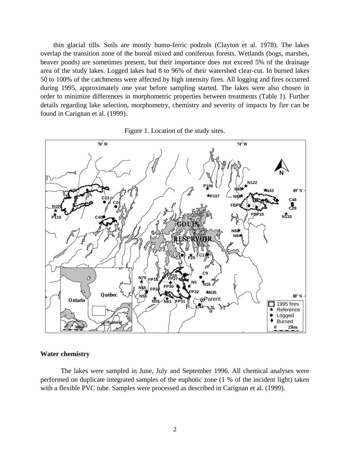thin glacial tills. Soils are mostly humo-ferric podzols (Clayton et al. 1978). The lakes overlap the transition zone of the boreal mixed and coniferous forests. Wetlands (bogs, marshes, beaver ponds) are sometimes present, but their importance does not exceed 5% of the drainage area of the study lakes. Logged lakes had 8 to 96% of their watershed clear-cut. In burned lakes 50 to 100% of the catchments were affected by high intensity fires. All logging and fires occurred during 1995, approximately one year before sampling started. The lakes were also chosen in order to minimize differences in morphometric properties between treatments (Table 1). Further details regarding lake selection, morphometry, chemistry and severity of impacts by fire can be found in Carignan et al. (1999).





# **Water chemistry**

The lakes were sampled in June, July and September 1996. All chemical analyses were performed on duplicate integrated samples of the euphotic zone (1 % of the incident light) taken with a flexible PVC tube. Samples were processed as described in Carignan et al. (1999).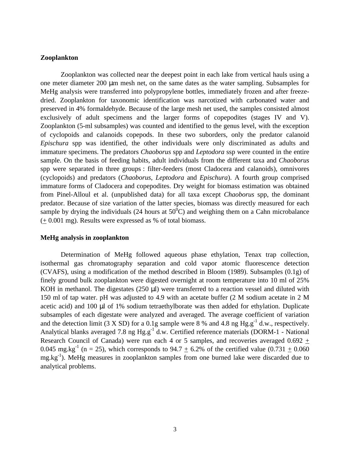# **Zooplankton**

Zooplankton was collected near the deepest point in each lake from vertical hauls using a one meter diameter 200 μm mesh net, on the same dates as the water sampling. Subsamples for MeHg analysis were transferred into polypropylene bottles, immediately frozen and after freezedried. Zooplankton for taxonomic identification was narcotized with carbonated water and preserved in 4% formaldehyde. Because of the large mesh net used, the samples consisted almost exclusively of adult specimens and the larger forms of copepodites (stages IV and V). Zooplankton (5-ml subsamples) was counted and identified to the genus level, with the exception of cyclopoids and calanoids copepods. In these two suborders, only the predator calanoid *Epischura* spp was identified, the other individuals were only discriminated as adults and immature specimens. The predators *Chaoborus* spp and *Leptodora* ssp were counted in the entire sample. On the basis of feeding habits, adult individuals from the different taxa and *Chaoborus* spp were separated in three groups : filter-feeders (most Cladocera and calanoids), omnivores (cyclopoids) and predators (*Chaoborus*, *Leptodora* and *Epischura*). A fourth group comprised immature forms of Cladocera and copepodites. Dry weight for biomass estimation was obtained from Pinel-Alloul et al. (unpublished data) for all taxa except *Chaoborus* spp, the dominant predator. Because of size variation of the latter species, biomass was directly measured for each sample by drying the individuals (24 hours at  $50^{\circ}$ C) and weighing them on a Cahn microbalance (+ 0.001 mg). Results were expressed as % of total biomass.

### **MeHg analysis in zooplankton**

Determination of MeHg followed aqueous phase ethylation, Tenax trap collection, isothermal gas chromatography separation and cold vapor atomic fluorescence detection (CVAFS), using a modification of the method described in Bloom (1989). Subsamples (0.1g) of finely ground bulk zooplankton were digested overnight at room temperature into 10 ml of 25% KOH in methanol. The digestates (250 μl) were transferred to a reaction vessel and diluted with 150 ml of tap water. pH was adjusted to 4.9 with an acetate buffer (2 M sodium acetate in 2 M acetic acid) and 100 μl of 1% sodium tetraethylborate was then added for ethylation. Duplicate subsamples of each digestate were analyzed and averaged. The average coefficient of variation and the detection limit (3 X SD) for a 0.1g sample were 8 % and 4.8 ng  $Hg.g^{-1}$  d.w., respectively. Analytical blanks averaged 7.8 ng  $Hg.g^{-1}$  d.w. Certified reference materials (DORM-1 - National Research Council of Canada) were run each 4 or 5 samples, and recoveries averaged 0.692 + 0.045 mg.kg<sup>-1</sup> (n = 25), which corresponds to 94.7  $\pm$  6.2% of the certified value (0.731  $\pm$  0.060  $mg/kg^{-1}$ ). MeHg measures in zooplankton samples from one burned lake were discarded due to analytical problems.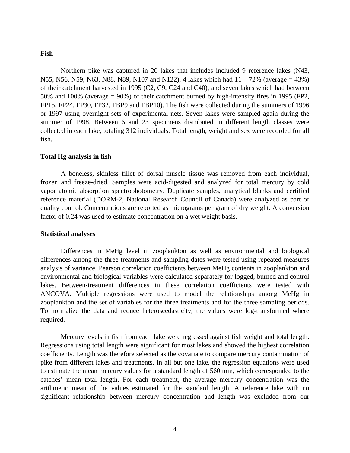# **Fish**

Northern pike was captured in 20 lakes that includes included 9 reference lakes (N43, N55, N56, N59, N63, N88, N89, N107 and N122), 4 lakes which had 11 – 72% (average = 43%) of their catchment harvested in 1995 (C2, C9, C24 and C40), and seven lakes which had between 50% and 100% (average = 90%) of their catchment burned by high-intensity fires in 1995 (FP2, FP15, FP24, FP30, FP32, FBP9 and FBP10). The fish were collected during the summers of 1996 or 1997 using overnight sets of experimental nets. Seven lakes were sampled again during the summer of 1998. Between 6 and 23 specimens distributed in different length classes were collected in each lake, totaling 312 individuals. Total length, weight and sex were recorded for all fish.

#### **Total Hg analysis in fish**

A boneless, skinless fillet of dorsal muscle tissue was removed from each individual, frozen and freeze-dried. Samples were acid-digested and analyzed for total mercury by cold vapor atomic absorption spectrophotometry. Duplicate samples, analytical blanks and certified reference material (DORM-2, National Research Council of Canada) were analyzed as part of quality control. Concentrations are reported as micrograms per gram of dry weight. A conversion factor of 0.24 was used to estimate concentration on a wet weight basis.

# **Statistical analyses**

Differences in MeHg level in zooplankton as well as environmental and biological differences among the three treatments and sampling dates were tested using repeated measures analysis of variance. Pearson correlation coefficients between MeHg contents in zooplankton and environmental and biological variables were calculated separately for logged, burned and control lakes. Between-treatment differences in these correlation coefficients were tested with ANCOVA. Multiple regressions were used to model the relationships among MeHg in zooplankton and the set of variables for the three treatments and for the three sampling periods. To normalize the data and reduce heteroscedasticity, the values were log-transformed where required.

Mercury levels in fish from each lake were regressed against fish weight and total length. Regressions using total length were significant for most lakes and showed the highest correlation coefficients. Length was therefore selected as the covariate to compare mercury contamination of pike from different lakes and treatments. In all but one lake, the regression equations were used to estimate the mean mercury values for a standard length of 560 mm, which corresponded to the catches' mean total length. For each treatment, the average mercury concentration was the arithmetic mean of the values estimated for the standard length. A reference lake with no significant relationship between mercury concentration and length was excluded from our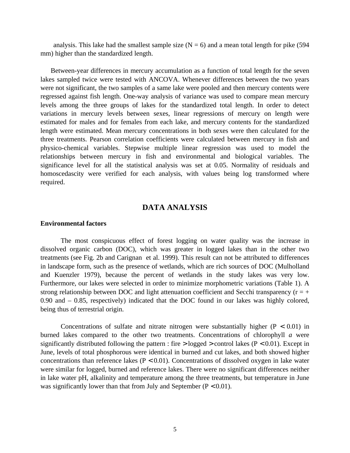analysis. This lake had the smallest sample size  $(N = 6)$  and a mean total length for pike (594) mm) higher than the standardized length.

Between-year differences in mercury accumulation as a function of total length for the seven lakes sampled twice were tested with ANCOVA. Whenever differences between the two years were not significant, the two samples of a same lake were pooled and then mercury contents were regressed against fish length. One-way analysis of variance was used to compare mean mercury levels among the three groups of lakes for the standardized total length. In order to detect variations in mercury levels between sexes, linear regressions of mercury on length were estimated for males and for females from each lake, and mercury contents for the standardized length were estimated. Mean mercury concentrations in both sexes were then calculated for the three treatments. Pearson correlation coefficients were calculated between mercury in fish and physico-chemical variables. Stepwise multiple linear regression was used to model the relationships between mercury in fish and environmental and biological variables. The significance level for all the statistical analysis was set at 0.05. Normality of residuals and homoscedascity were verified for each analysis, with values being log transformed where required.

# **DATA ANALYSIS**

#### **Environmental factors**

The most conspicuous effect of forest logging on water quality was the increase in dissolved organic carbon (DOC), which was greater in logged lakes than in the other two treatments (see Fig. 2b and Carignan et al. 1999). This result can not be attributed to differences in landscape form, such as the presence of wetlands, which are rich sources of DOC (Mulholland and Kuenzler 1979), because the percent of wetlands in the study lakes was very low. Furthermore, our lakes were selected in order to minimize morphometric variations (Table 1). A strong relationship between DOC and light attenuation coefficient and Secchi transparency ( $r = +$ 0.90 and – 0.85, respectively) indicated that the DOC found in our lakes was highly colored, being thus of terrestrial origin.

Concentrations of sulfate and nitrate nitrogen were substantially higher  $(P < 0.01)$  in burned lakes compared to the other two treatments. Concentrations of chlorophyll *a* were significantly distributed following the pattern : fire  $>$  logged  $>$  control lakes (P < 0.01). Except in June, levels of total phosphorous were identical in burned and cut lakes, and both showed higher concentrations than reference lakes ( $P < 0.01$ ). Concentrations of dissolved oxygen in lake water were similar for logged, burned and reference lakes. There were no significant differences neither in lake water pH, alkalinity and temperature among the three treatments, but temperature in June was significantly lower than that from July and September ( $P < 0.01$ ).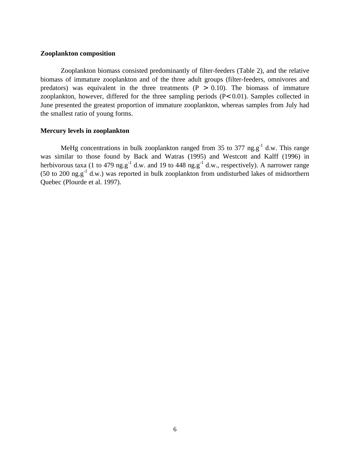# **Zooplankton composition**

Zooplankton biomass consisted predominantly of filter-feeders (Table 2), and the relative biomass of immature zooplankton and of the three adult groups (filter-feeders, omnivores and predators) was equivalent in the three treatments  $(P > 0.10)$ . The biomass of immature zooplankton, however, differed for the three sampling periods (P< 0.01). Samples collected in June presented the greatest proportion of immature zooplankton, whereas samples from July had the smallest ratio of young forms.

# **Mercury levels in zooplankton**

MeHg concentrations in bulk zooplankton ranged from 35 to 377 ng. $g^{-1}$  d.w. This range was similar to those found by Back and Watras (1995) and Westcott and Kalff (1996) in herbivorous taxa (1 to 479 ng.g<sup>-1</sup> d.w. and 19 to 448 ng.g<sup>-1</sup> d.w., respectively). A narrower range (50 to 200 ng.g<sup>-1</sup> d.w.) was reported in bulk zooplankton from undisturbed lakes of midnorthern Quebec (Plourde et al. 1997).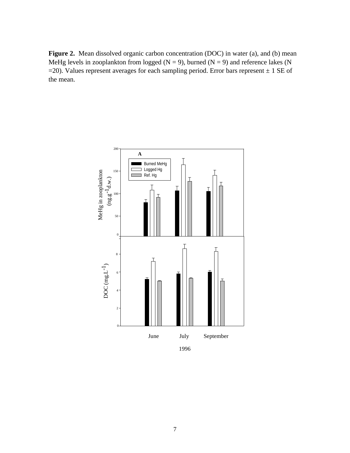Figure 2. Mean dissolved organic carbon concentration (DOC) in water (a), and (b) mean MeHg levels in zooplankton from logged ( $N = 9$ ), burned ( $N = 9$ ) and reference lakes (N  $=$  20). Values represent averages for each sampling period. Error bars represent  $\pm$  1 SE of the mean.

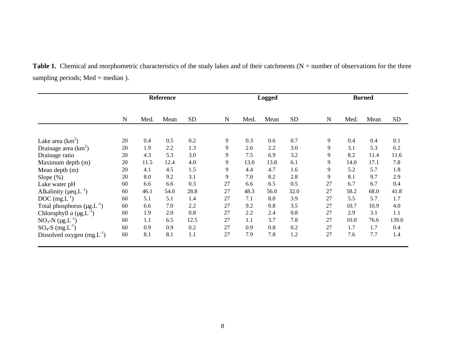|                                       | <b>Reference</b> |      |      |           | <b>Logged</b> |      |      | <b>Burned</b> |             |      |      |           |
|---------------------------------------|------------------|------|------|-----------|---------------|------|------|---------------|-------------|------|------|-----------|
|                                       | $\mathbf N$      | Med. | Mean | <b>SD</b> | ${\bf N}$     | Med. | Mean | <b>SD</b>     | $\mathbf N$ | Med. | Mean | <b>SD</b> |
|                                       |                  |      |      |           |               |      |      |               |             |      |      |           |
| Lake area $(km^2)$                    | 20               | 0.4  | 0.5  | 0.2       | 9             | 0.3  | 0.6  | 0.7           | 9           | 0.4  | 0.4  | 0.1       |
| Drainage area $(km^2)$                | 20               | 1.9  | 2.2  | 1.3       | 9             | 2.6  | 2.2  | 3.0           | 9           | 3.1  | 5.3  | 6.2       |
| Drainage ratio                        | 20               | 4.3  | 5.3  | 3.0       | 9             | 7.5  | 6.9  | 3.2           | 9           | 8.2  | 11.4 | 11.6      |
| Maximum depth (m)                     | 20               | 11.5 | 12.4 | 4.0       | 9             | 13.0 | 13.8 | 6.1           | 9           | 14.0 | 17.1 | 7.8       |
| Mean depth (m)                        | 20               | 4.1  | 4.5  | 1.5       | 9             | 4.4  | 4.7  | 1.6           | 9           | 5.2  | 5.7  | 1.8       |
| Slope $(\%)$                          | 20               | 8.0  | 9.2  | 3.1       | 9             | 7.0  | 8.2  | 2.8           | 9           | 8.1  | 9.7  | 2.9       |
| Lake water pH                         | 60               | 6.6  | 6.6  | 0.3       | 27            | 6.6  | 6.5  | 0.5           | 27          | 6.7  | 6.7  | 0.4       |
| Alkalinity ( $\mu$ eq. $L^{-1}$ )     | 60               | 46.1 | 54.0 | 28.8      | 27            | 48.3 | 56.0 | 32.0          | 27          | 58.2 | 68.0 | 41.8      |
| $DOC$ (mg. $L^{-1}$ )                 | 60               | 5.1  | 5.1  | 1.4       | 27            | 7.1  | 8.0  | 3.9           | 27          | 5.5  | 5.7  | 1.7       |
| Total phosphorus $(\mu g.L^{-1})$     | 60               | 6.6  | 7.0  | 2.2       | 27            | 9.2  | 9.8  | 3.5           | 27          | 10.7 | 10.9 | 4.0       |
| Chlorophyll $a$ (µg.L <sup>-1</sup> ) | 60               | 1.9  | 2.0  | 0.8       | 27            | 2.2  | 2.4  | 0.8           | 27          | 2.9  | 3.1  | 1.1       |
| $NO_3-N$ (µg.L <sup>-1</sup> )        | 60               | 1.1  | 6.5  | 12.5      | 27            | 1.1  | 3.7  | 7.8           | 27          | 10.0 | 76.6 | 139.0     |
| $SO_4$ -S (mg.L <sup>-1</sup> )       | 60               | 0.9  | 0.9  | 0.2       | 27            | 0.9  | 0.8  | 0.2           | 27          | 1.7  | 1.7  | 0.4       |
| Dissolved oxygen $(mg.L^{-1})$        | 60               | 8.1  | 8.1  | 1.1       | 27            | 7.9  | 7.8  | 1.2           | 27          | 7.6  | 7.7  | 1.4       |

Table 1. Chemical and morphometric characteristics of the study lakes and of their catchments (N = number of observations for the three sampling periods; Med = median ).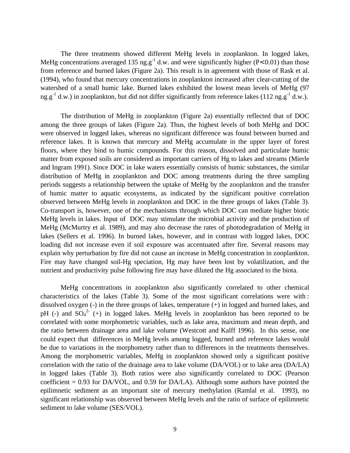The three treatments showed different MeHg levels in zooplankton. In logged lakes, MeHg concentrations averaged 135 ng.g<sup>-1</sup> d.w. and were significantly higher (P< 0.01) than those from reference and burned lakes (Figure 2a). This result is in agreement with those of Rask et al. (1994), who found that mercury concentrations in zooplankton increased after clear-cutting of the watershed of a small humic lake. Burned lakes exhibited the lowest mean levels of MeHg (97 ng.g<sup>-1</sup> d.w.) in zooplankton, but did not differ significantly from reference lakes (112 ng.g<sup>-1</sup> d.w.).

The distribution of MeHg in zooplankton (Figure 2a) essentially reflected that of DOC among the three groups of lakes (Figure 2a). Thus, the highest levels of both MeHg and DOC were observed in logged lakes, whereas no significant difference was found between burned and reference lakes. It is known that mercury and MeHg accumulate in the upper layer of forest floors, where they bind to humic compounds. For this reason, dissolved and particulate humic matter from exposed soils are considered as important carriers of Hg to lakes and streams (Mierle and Ingram 1991). Since DOC in lake waters essentially consists of humic substances, the similar distribution of MeHg in zooplankton and DOC among treatments during the three sampling periods suggests a relationship between the uptake of MeHg by the zooplankton and the transfer of humic matter to aquatic ecosystems, as indicated by the significant positive correlation observed between MeHg levels in zooplankton and DOC in the three groups of lakes (Table 3). Co-transport is, however, one of the mechanisms through which DOC can mediate higher biotic MeHg levels in lakes. Input of DOC may stimulate the microbial activity and the production of MeHg (McMurtry et al. 1989), and may also decrease the rates of photodegradation of MeHg in lakes (Sellers et al. 1996). In burned lakes, however, and in contrast with logged lakes, DOC loading did not increase even if soil exposure was accentuated after fire. Several reasons may explain why perturbation by fire did not cause an increase in MeHg concentration in zooplankton. Fire may have changed soil-Hg speciation, Hg may have been lost by volatilization, and the nutrient and productivity pulse following fire may have diluted the Hg associated to the biota.

MeHg concentrations in zooplankton also significantly correlated to other chemical characteristics of the lakes (Table 3). Some of the most significant correlations were with : dissolved oxygen (-) in the three groups of lakes, temperature (+) in logged and burned lakes, and pH (-) and  $SO_4^2$  (+) in logged lakes. MeHg levels in zooplankton has been reported to be correlated with some morphometric variables, such as lake area, maximum and mean depth, and the ratio between drainage area and lake volume (Westcott and Kalff 1996). In this sense, one could expect that differences in MeHg levels among logged, burned and reference lakes would be due to variations in the morphometry rather than to differences in the treatments themselves. Among the morphometric variables, MeHg in zooplankton showed only a significant positive correlation with the ratio of the drainage area to lake volume (DA/VOL) or to lake area (DA/LA) in logged lakes (Table 3). Both ratios were also significantly correlated to DOC (Pearson coefficient  $= 0.93$  for DA/VOL, and 0.59 for DA/LA). Although some authors have pointed the epilimnetic sediment as an important site of mercury methylation (Ramlal et al. 1993), no significant relationship was observed between MeHg levels and the ratio of surface of epilimnetic sediment to lake volume (SES/VOL).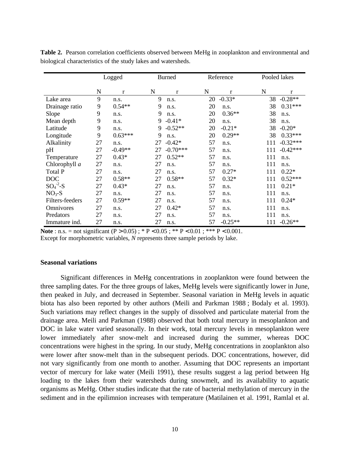|                      | Logged |           |    | <b>Burned</b> |    | Reference |     | Pooled lakes |  |
|----------------------|--------|-----------|----|---------------|----|-----------|-----|--------------|--|
|                      | N      | $\bf r$   | N  | $\bf r$       | N  | $\bf r$   | N   | r            |  |
| Lake area            | 9      | n.s.      | 9  | n.s.          | 20 | $-0.33*$  | 38  | $-0.28**$    |  |
| Drainage ratio       | 9      | $0.54**$  | 9  | n.s.          | 20 | n.s.      | 38  | $0.31***$    |  |
| Slope                | 9      | n.s.      | 9  | n.s.          | 20 | $0.36**$  | 38  | n.s.         |  |
| Mean depth           | 9      | n.s.      | 9  | $-0.41*$      | 20 | n.s.      | 38  | n.s.         |  |
| Latitude             | 9      | n.s.      | 9  | $-0.52**$     | 20 | $-0.21*$  | 38  | $-0.20*$     |  |
| Longitude            | 9      | $0.63***$ | 9  | n.s.          | 20 | $0.29**$  | 38  | $0.33***$    |  |
| Alkalinity           | 27     | n.s.      | 27 | $-0.42*$      | 57 | n.s.      | 111 | $-0.32***$   |  |
| pH                   | 27     | $-0.49**$ | 27 | $-0.70***$    | 57 | n.s.      | 111 | $-0.42***$   |  |
| Temperature          | 27     | $0.43*$   | 27 | $0.52**$      | 57 | n.s.      | 111 | n.s.         |  |
| Chlorophyll a        | 27     | n.s.      | 27 | n.s.          | 57 | n.s.      | 111 | n.s.         |  |
| Total P              | 27     | n.s.      | 27 | n.s.          | 57 | $0.27*$   | 111 | $0.22*$      |  |
| <b>DOC</b>           | 27     | $0.58**$  | 27 | $0.58**$      | 57 | $0.32*$   | 111 | $0.52***$    |  |
| $SO_4^{\text{-2}}-S$ | 27     | $0.43*$   | 27 | n.s.          | 57 | n.s.      | 111 | $0.21*$      |  |
| $NO3-S$              | 27     | n.s.      | 27 | n.s.          | 57 | n.s.      | 111 | n.s.         |  |
| Filters-feeders      | 27     | $0.59**$  | 27 | n.s.          | 57 | n.s.      | 111 | $0.24*$      |  |
| Omnivores            | 27     | n.s.      | 27 | $0.42*$       | 57 | n.s.      | 111 | n.s.         |  |
| Predators            | 27     | n.s.      | 27 | n.s.          | 57 | n.s.      | 111 | n.s.         |  |
| Immature ind.        | 27     | n.s.      | 27 | n.s.          | 57 | $-0.25**$ | 111 | $-0.26**$    |  |

**Table 2.** Pearson correlation coefficients observed between MeHg in zooplankton and environmental and biological characteristics of the study lakes and watersheds.

**Note** : n.s. = not significant  $(P > 0.05)$ ; \*  $P < 0.05$ ; \* \*  $P < 0.01$ ; \* \*  $P < 0.001$ .

Except for morphometric variables, *N* represents three sample periods by lake.

# **Seasonal variations**

Significant differences in MeHg concentrations in zooplankton were found between the three sampling dates. For the three groups of lakes, MeHg levels were significantly lower in June, then peaked in July, and decreased in September. Seasonal variation in MeHg levels in aquatic biota has also been reported by other authors (Meili and Parkman 1988 ; Bodaly et al. 1993). Such variations may reflect changes in the supply of dissolved and particulate material from the drainage area. Meili and Parkman (1988) observed that both total mercury in mesoplankton and DOC in lake water varied seasonally. In their work, total mercury levels in mesoplankton were lower immediately after snow-melt and increased during the summer, whereas DOC concentrations were highest in the spring. In our study, MeHg concentrations in zooplankton also were lower after snow-melt than in the subsequent periods. DOC concentrations, however, did not vary significantly from one month to another. Assuming that DOC represents an important vector of mercury for lake water (Meili 1991), these results suggest a lag period between Hg loading to the lakes from their watersheds during snowmelt, and its availability to aquatic organisms as MeHg. Other studies indicate that the rate of bacterial methylation of mercury in the sediment and in the epilimnion increases with temperature (Matilainen et al. 1991, Ramlal et al.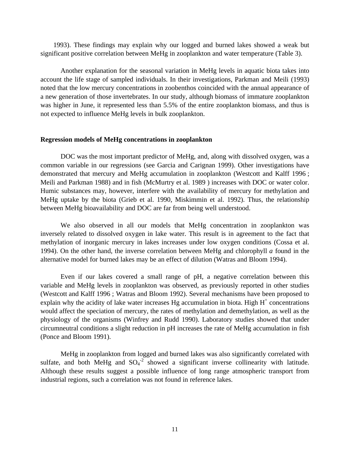1993). These findings may explain why our logged and burned lakes showed a weak but significant positive correlation between MeHg in zooplankton and water temperature (Table 3).

Another explanation for the seasonal variation in MeHg levels in aquatic biota takes into account the life stage of sampled individuals. In their investigations, Parkman and Meili (1993) noted that the low mercury concentrations in zoobenthos coincided with the annual appearance of a new generation of those invertebrates. In our study, although biomass of immature zooplankton was higher in June, it represented less than 5.5% of the entire zooplankton biomass, and thus is not expected to influence MeHg levels in bulk zooplankton.

#### **Regression models of MeHg concentrations in zooplankton**

DOC was the most important predictor of MeHg, and, along with dissolved oxygen, was a common variable in our regressions (see Garcia and Carignan 1999). Other investigations have demonstrated that mercury and MeHg accumulation in zooplankton (Westcott and Kalff 1996 ; Meili and Parkman 1988) and in fish (McMurtry et al. 1989 ) increases with DOC or water color. Humic substances may, however, interfere with the availability of mercury for methylation and MeHg uptake by the biota (Grieb et al. 1990, Miskimmin et al. 1992). Thus, the relationship between MeHg bioavailability and DOC are far from being well understood.

We also observed in all our models that MeHg concentration in zooplankton was inversely related to dissolved oxygen in lake water. This result is in agreement to the fact that methylation of inorganic mercury in lakes increases under low oxygen conditions (Cossa et al. 1994). On the other hand, the inverse correlation between MeHg and chlorophyll *a* found in the alternative model for burned lakes may be an effect of dilution (Watras and Bloom 1994).

Even if our lakes covered a small range of pH, a negative correlation between this variable and MeHg levels in zooplankton was observed, as previously reported in other studies (Westcott and Kalff 1996 ; Watras and Bloom 1992). Several mechanisms have been proposed to explain why the acidity of lake water increases Hg accumulation in biota. High  $H^+$  concentrations would affect the speciation of mercury, the rates of methylation and demethylation, as well as the physiology of the organisms (Winfrey and Rudd 1990). Laboratory studies showed that under circumneutral conditions a slight reduction in pH increases the rate of MeHg accumulation in fish (Ponce and Bloom 1991).

MeHg in zooplankton from logged and burned lakes was also significantly correlated with sulfate, and both MeHg and  $SO_4^2$  showed a significant inverse collinearity with latitude. Although these results suggest a possible influence of long range atmospheric transport from industrial regions, such a correlation was not found in reference lakes.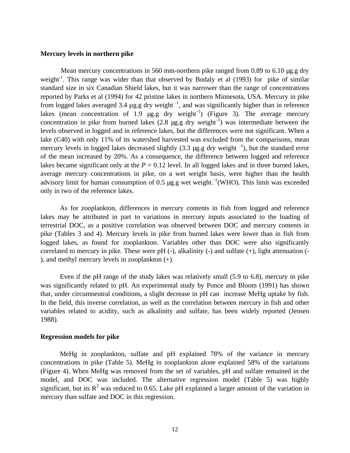# **Mercury levels in northern pike**

Mean mercury concentrations in 560 mm-northern pike ranged from 0.89 to 6.10 µg.g dry weight<sup>-1</sup>. This range was wider than that observed by Bodaly et al (1993) for pike of similar standard size in six Canadian Shield lakes, but it was narrower than the range of concentrations reported by Parks et al (1994) for 42 pristine lakes in northern Minnesota, USA. Mercury in pike from logged lakes averaged 3.4  $\mu$ g.g dry weight<sup>-1</sup>, and was significantly higher than in reference lakes (mean concentration of 1.9  $\mu$ g.g dry weight<sup>-1</sup>) (Figure 3). The average mercury concentration in pike from burned lakes  $(2.8 \mu g.g. g'$  dry weight<sup>-1</sup>) was intermediate between the levels observed in logged and in reference lakes, but the differences were not significant. When a lake (C40) with only 11% of its watershed harvested was excluded from the comparisons, mean mercury levels in logged lakes decreased slightly  $(3.3 \mu g.g. g\,$  dry weight  $^{-1}$ ), but the standard error of the mean increased by 20%. As a consequence, the difference between logged and reference lakes became significant only at the  $P = 0.12$  level. In all logged lakes and in three burned lakes, average mercury concentrations in pike, on a wet weight basis, were higher than the health advisory limit for human consumption of 0.5  $\mu$ g.g wet weight.<sup>-1</sup>(WHO). This limit was exceeded only in two of the reference lakes.

As for zooplankton, differences in mercury contents in fish from logged and reference lakes may be attributed in part to variations in mercury inputs associated to the loading of terrestrial DOC, as a positive correlation was observed between DOC and mercury contents in pike (Tables 3 and 4). Mercury levels in pike from burned lakes were lower than in fish from logged lakes, as found for zooplankton. Variables other than DOC were also significantly correlated to mercury in pike. These were  $pH$  (-), alkalinity (-) and sulfate (+), light attenuation (-), and methyl mercury levels in zooplankton (+).

Even if the pH range of the study lakes was relatively small (5.9 to 6.8), mercury in pike was significantly related to pH. An experimental study by Ponce and Bloom (1991) has shown that, under circumneutral conditions, a slight decrease in pH can increase MeHg uptake by fish. In the field, this inverse correlation, as well as the correlation between mercury in fish and other variables related to acidity, such as alkalinity and sulfate, has been widely reported (Jensen 1988).

### **Regression models for pike**

MeHg in zooplankton, sulfate and pH explained 78% of the variance in mercury concentrations in pike (Table 5). MeHg in zooplankton alone explained 58% of the variations (Figure 4). When MeHg was removed from the set of variables, pH and sulfate remained in the model, and DOC was included. The alternative regression model (Table 5) was highly significant, but its  $R^2$  was reduced to 0.65. Lake pH explained a larger amount of the variation in mercury than sulfate and DOC in this regression.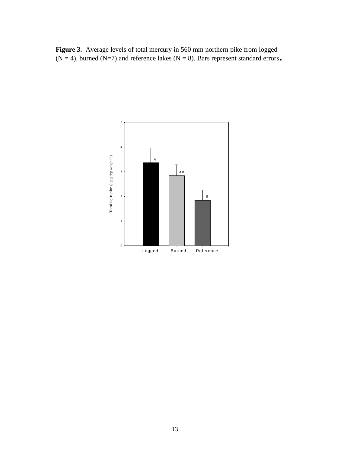Figure 3. Average levels of total mercury in 560 mm northern pike from logged  $(N = 4)$ , burned  $(N=7)$  and reference lakes  $(N = 8)$ . Bars represent standard errors.

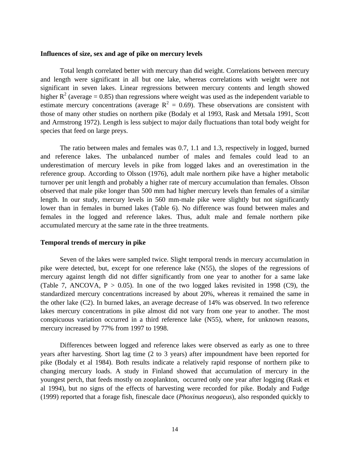## **Influences of size, sex and age of pike on mercury levels**

Total length correlated better with mercury than did weight. Correlations between mercury and length were significant in all but one lake, whereas correlations with weight were not significant in seven lakes. Linear regressions between mercury contents and length showed higher  $R^2$  (average = 0.85) than regressions where weight was used as the independent variable to estimate mercury concentrations (average  $R^2 = 0.69$ ). These observations are consistent with those of many other studies on northern pike (Bodaly et al 1993, Rask and Metsala 1991, Scott and Armstrong 1972). Length is less subject to major daily fluctuations than total body weight for species that feed on large preys.

The ratio between males and females was 0.7, 1.1 and 1.3, respectively in logged, burned and reference lakes. The unbalanced number of males and females could lead to an underestimation of mercury levels in pike from logged lakes and an overestimation in the reference group. According to Olsson (1976), adult male northern pike have a higher metabolic turnover per unit length and probably a higher rate of mercury accumulation than females. Olsson observed that male pike longer than 500 mm had higher mercury levels than females of a similar length. In our study, mercury levels in 560 mm-male pike were slightly but not significantly lower than in females in burned lakes (Table 6). No difference was found between males and females in the logged and reference lakes. Thus, adult male and female northern pike accumulated mercury at the same rate in the three treatments.

# **Temporal trends of mercury in pike**

Seven of the lakes were sampled twice. Slight temporal trends in mercury accumulation in pike were detected, but, except for one reference lake (N55), the slopes of the regressions of mercury against length did not differ significantly from one year to another for a same lake (Table 7, ANCOVA,  $P > 0.05$ ). In one of the two logged lakes revisited in 1998 (C9), the standardized mercury concentrations increased by about 20%, whereas it remained the same in the other lake (C2). In burned lakes, an average decrease of 14% was observed. In two reference lakes mercury concentrations in pike almost did not vary from one year to another. The most conspicuous variation occurred in a third reference lake (N55), where, for unknown reasons, mercury increased by 77% from 1997 to 1998.

Differences between logged and reference lakes were observed as early as one to three years after harvesting. Short lag time (2 to 3 years) after impoundment have been reported for pike (Bodaly et al 1984). Both results indicate a relatively rapid response of northern pike to changing mercury loads. A study in Finland showed that accumulation of mercury in the youngest perch, that feeds mostly on zooplankton, occurred only one year after logging (Rask et al 1994), but no signs of the effects of harvesting were recorded for pike. Bodaly and Fudge (1999) reported that a forage fish, finescale dace (*Phoxinus neogaeus*), also responded quickly to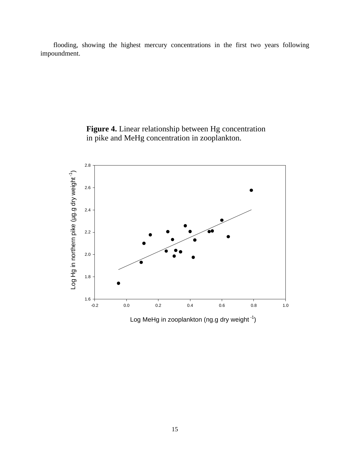flooding, showing the highest mercury concentrations in the first two years following impoundment.



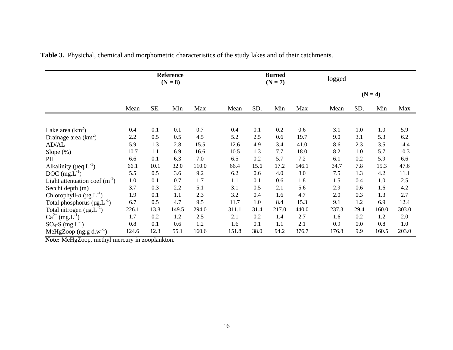|                                        | <b>Reference</b><br>$(N = 8)$ |      |       |       | <b>Burned</b><br>$(N = 7)$ |      |       | logged |       |      |           |       |
|----------------------------------------|-------------------------------|------|-------|-------|----------------------------|------|-------|--------|-------|------|-----------|-------|
|                                        |                               |      |       |       |                            |      |       |        |       |      | $(N = 4)$ |       |
|                                        | Mean                          | SE.  | Min   | Max   | Mean                       | SD.  | Min   | Max    | Mean  | SD.  | Min       | Max   |
| Lake area $(km^2)$                     | 0.4                           | 0.1  | 0.1   | 0.7   | 0.4                        | 0.1  | 0.2   | 0.6    | 3.1   | 1.0  | 1.0       | 5.9   |
| Drainage area $(km^2)$                 | 2.2                           | 0.5  | 0.5   | 4.5   | 5.2                        | 2.5  | 0.6   | 19.7   | 9.0   | 3.1  | 5.3       | 6.2   |
| AD/AL                                  | 5.9                           | 1.3  | 2.8   | 15.5  | 12.6                       | 4.9  | 3.4   | 41.0   | 8.6   | 2.3  | 3.5       | 14.4  |
| Slope $(\%)$                           | 10.7                          | 1.1  | 6.9   | 16.6  | 10.5                       | 1.3  | 7.7   | 18.0   | 8.2   | 1.0  | 5.7       | 10.3  |
| PH                                     | 6.6                           | 0.1  | 6.3   | 7.0   | 6.5                        | 0.2  | 5.7   | 7.2    | 6.1   | 0.2  | 5.9       | 6.6   |
| Alkalinity ( $\mu$ eq. $L^{-1}$ )      | 66.1                          | 10.1 | 32.0  | 110.0 | 66.4                       | 15.6 | 17.2  | 146.1  | 34.7  | 7.8  | 15.3      | 47.6  |
| $DOC$ (mg. $L^{-1}$ )                  | 5.5                           | 0.5  | 3.6   | 9.2   | 6.2                        | 0.6  | 4.0   | 8.0    | 7.5   | 1.3  | 4.2       | 11.1  |
| Light attenuation coef $(m^{-1})$      | $1.0\,$                       | 0.1  | 0.7   | 1.7   | 1.1                        | 0.1  | 0.6   | 1.8    | 1.5   | 0.4  | 1.0       | 2.5   |
| Secchi depth (m)                       | 3.7                           | 0.3  | 2.2   | 5.1   | 3.1                        | 0.5  | 2.1   | 5.6    | 2.9   | 0.6  | 1.6       | 4.2   |
| Chlorophyll- $a$ (µg.L <sup>-1</sup> ) | 1.9                           | 0.1  | 1.1   | 2.3   | 3.2                        | 0.4  | 1.6   | 4.7    | 2.0   | 0.3  | 1.3       | 2.7   |
| Total phosphorus $(\mu g.L^{-1})$      | 6.7                           | 0.5  | 4.7   | 9.5   | 11.7                       | 1.0  | 8.4   | 15.3   | 9.1   | 1.2  | 6.9       | 12.4  |
| Total nitrogen $(\mu g.L^{-1})$        | 226.1                         | 13.8 | 149.5 | 294.0 | 311.1                      | 31.4 | 217.0 | 440.0  | 237.3 | 29.4 | 160.0     | 303.0 |
| $Ca^{2+} (mg.L^{-1})$                  | 1.7                           | 0.2  | 1.2   | 2.5   | 2.1                        | 0.2  | 1.4   | 2.7    | 1.6   | 0.2  | 1.2       | 2.0   |
| $SO_4$ -S (mg.L <sup>-1</sup> )        | 0.8                           | 0.1  | 0.6   | 1.2   | 1.6                        | 0.1  | 1.1   | 2.1    | 0.9   | 0.0  | 0.8       | 1.0   |
| MeHgZoop $(ng.g d.w^{-1})$             | 124.6                         | 12.3 | 55.1  | 160.6 | 151.8                      | 38.0 | 94.2  | 376.7  | 176.8 | 9.9  | 160.5     | 203.0 |

**Table 3.** Physichal, chemical and morphometric characteristics of the study lakes and of their catchments.

 **Note:** MeHgZoop, methyl mercury in zooplankton.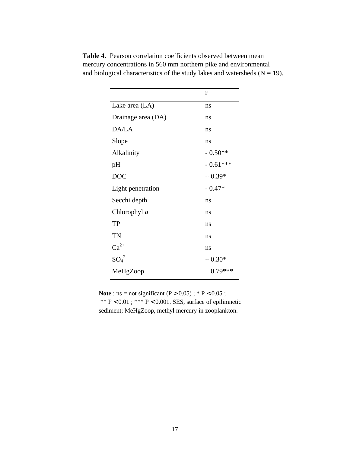|                    | r          |
|--------------------|------------|
| Lake area (LA)     | ns         |
| Drainage area (DA) | ns         |
| DA/LA              | ns         |
| Slope              | ns         |
| Alkalinity         | $-0.50**$  |
| pH                 | $-0.61***$ |
| <b>DOC</b>         | $+0.39*$   |
| Light penetration  | $-0.47*$   |
| Secchi depth       | ns         |
| Chlorophyl a       | ns         |
| <b>TP</b>          | ns         |
| TN                 | ns         |
| $Ca^{2+}$          | ns         |
| $SO_4^2$           | $+0.30*$   |
| MeHgZoop.          | $+0.79***$ |

**Table 4.** Pearson correlation coefficients observed between mean mercury concentrations in 560 mm northern pike and environmental and biological characteristics of the study lakes and watersheds  $(N = 19)$ .

**Note** : ns = not significant  $(P > 0.05)$ ; \* P < 0.05; \*\*  $P < 0.01$ ; \*\*\*  $P < 0.001$ . SES, surface of epilimnetic sediment; MeHgZoop, methyl mercury in zooplankton.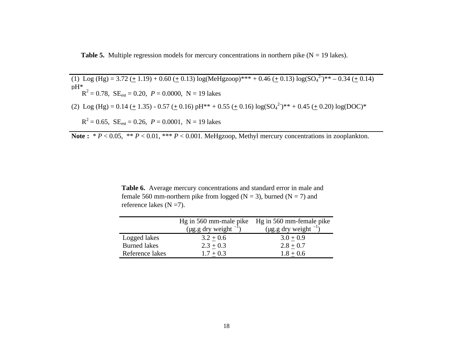**Table 5.** Multiple regression models for mercury concentrations in northern pike  $(N = 19$  lakes).

(1) Log (Hg) = 3.72 ( $\pm$  1.19) + 0.60 ( $\pm$  0.13) log(MeHgzoop)\*\*\* + 0.46 ( $\pm$  0.13) log(SO<sub>4</sub><sup>2</sup>)\*\* – 0.34 ( $\pm$  0.14) pH\*  $R^2 = 0.78$ ,  $SE_{est} = 0.20$ ,  $P = 0.0000$ ,  $N = 19$  lakes (2) Log (Hg) = 0.14 ( $\pm$  1.35) - 0.57 ( $\pm$  0.16) pH<sup>\*\*</sup> + 0.55 ( $\pm$  0.16) log(SO<sub>4</sub><sup>2</sup>)<sup>\*\*</sup> + 0.45 ( $\pm$  0.20) log(DOC)<sup>\*</sup>  $R^2 = 0.65$ ,  $SE_{est} = 0.26$ ,  $P = 0.0001$ ,  $N = 19$  lakes

Note :  $* P < 0.05$ ,  $* P < 0.01$ ,  $* * P < 0.001$ . MeHgzoop, Methyl mercury concentrations in zooplankton.

**Table 6.** Average mercury concentrations and standard error in male and female 560 mm-northern pike from logged ( $N = 3$ ), burned ( $N = 7$ ) and reference lakes  $(N = 7)$ .

|                     |                                 | Hg in 560 mm-male pike Hg in 560 mm-female pike |
|---------------------|---------------------------------|-------------------------------------------------|
|                     | $(\mu$ g.g dry weight $^{-1}$ ) | ( $\mu$ g.g dry weight $^{-1}$ )                |
| Logged lakes        | $3.2 + 0.6$                     | $3.0 + 0.9$                                     |
| <b>Burned</b> lakes | $2.3 + 0.3$                     | $2.8 + 0.7$                                     |
| Reference lakes     | $1.7 \pm 0.3$                   | $1.8 + 0.6$                                     |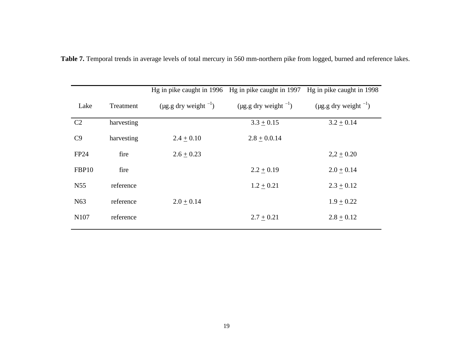|                 |            |                                  | Hg in pike caught in 1996 Hg in pike caught in 1997 | Hg in pike caught in 1998        |
|-----------------|------------|----------------------------------|-----------------------------------------------------|----------------------------------|
| Lake            | Treatment  | ( $\mu$ g.g dry weight $^{-1}$ ) | ( $\mu$ g.g dry weight $^{-1}$ )                    | ( $\mu$ g.g dry weight $^{-1}$ ) |
| C2              | harvesting |                                  | $3.3 + 0.15$                                        | $3.2 \pm 0.14$                   |
| C9              | harvesting | $2.4 + 0.10$                     | $2.8 \pm 0.0.14$                                    |                                  |
| FP24            | fire       | $2.6 \pm 0.23$                   |                                                     | $2,2 \pm 0.20$                   |
| FBP10           | fire       |                                  | $2.2 + 0.19$                                        | $2.0 + 0.14$                     |
| N <sub>55</sub> | reference  |                                  | $1.2 + 0.21$                                        | $2.3 \pm 0.12$                   |
| N <sub>63</sub> | reference  | $2.0 + 0.14$                     |                                                     | $1.9 + 0.22$                     |
| N107            | reference  |                                  | $2.7 + 0.21$                                        | $2.8 + 0.12$                     |

**Table 7.** Temporal trends in average levels of total mercury in 560 mm-northern pike from logged, burned and reference lakes.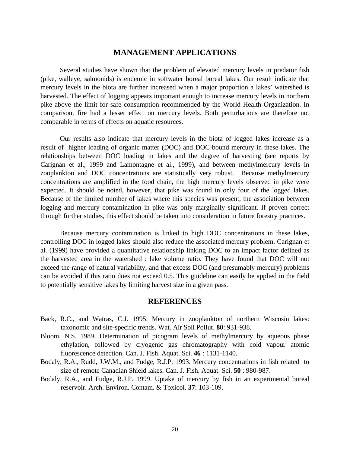# **MANAGEMENT APPLICATIONS**

Several studies have shown that the problem of elevated mercury levels in predator fish (pike, walleye, salmonids) is endemic in softwater boreal boreal lakes. Our result indicate that mercury levels in the biota are further increased when a major proportion a lakes' watershed is harvested. The effect of logging appears important enough to increase mercury levels in northern pike above the limit for safe consumption recommended by the World Health Organization. In comparison, fire had a lesser effect on mercury levels. Both perturbations are therefore not comparable in terms of effects on aquatic resources.

Our results also indicate that mercury levels in the biota of logged lakes increase as a result of higher loading of organic matter (DOC) and DOC-bound mercury in these lakes. The relationships between DOC loading in lakes and the degree of harvesting (see reports by Carignan et al., 1999 and Lamontagne et al., 1999), and between methylmercury levels in zooplankton and DOC concentrations are statistically very robust. Because methylmercury concentrations are amplified in the food chain, the high mercury levels observed in pike were expected. It should be noted, however, that pike was found in only four of the logged lakes. Because of the limited number of lakes where this species was present, the association between logging and mercury contamination in pike was only marginally significant. If proven correct through further studies, this effect should be taken into consideration in future forestry practices.

Because mercury contamination is linked to high DOC concentrations in these lakes, controlling DOC in logged lakes should also reduce the associated mercury problem. Carignan et al. (1999) have provided a quantitative relationship linking DOC to an impact factor defined as the harvested area in the watershed : lake volume ratio. They have found that DOC will not exceed the range of natural variability, and that excess DOC (and presumably mercury) problems can be avoided if this ratio does not exceed 0.5. This guideline can easily be applied in the field to potentially sensitive lakes by limiting harvest size in a given pass.

# **REFERENCES**

- Back, R.C., and Watras, C.J. 1995. Mercury in zooplankton of northern Wiscosin lakes: taxonomic and site-specific trends. Wat. Air Soil Pollut. **80**: 931-938.
- Bloom, N.S. 1989. Determination of picogram levels of methylmercury by aqueous phase ethylation, followed by cryogenic gas chromatography with cold vapour atomic fluorescence detection. Can. J. Fish. Aquat. Sci. **46** : 1131-1140.
- Bodaly, R.A., Rudd, J.W.M., and Fudge, R.J.P. 1993. Mercury concentrations in fish related to size of remote Canadian Shield lakes. Can. J. Fish. Aquat. Sci. **50** : 980-987.
- Bodaly, R.A., and Fudge, R.J.P. 1999. Uptake of mercury by fish in an experimental boreal reservoir. Arch. Environ. Contam. & Toxicol. **37**: 103-109.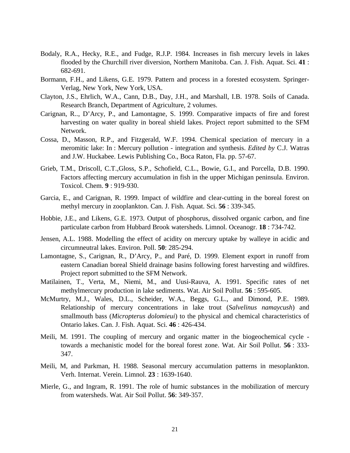- Bodaly, R.A., Hecky, R.E., and Fudge, R.J.P. 1984. Increases in fish mercury levels in lakes flooded by the Churchill river diversion, Northern Manitoba. Can. J. Fish. Aquat. Sci. **41** : 682-691.
- Bormann, F.H., and Likens, G.E. 1979. Pattern and process in a forested ecosystem. Springer-Verlag, New York, New York, USA.
- Clayton, J.S., Ehrlich, W.A., Cann, D.B., Day, J.H., and Marshall, I.B. 1978. Soils of Canada. Research Branch, Department of Agriculture, 2 volumes.
- Carignan, R.., D'Arcy, P., and Lamontagne, S. 1999. Comparative impacts of fire and forest harvesting on water quality in boreal shield lakes. Project report submitted to the SFM Network.
- Cossa, D., Masson, R.P., and Fitzgerald, W.F. 1994. Chemical speciation of mercury in a meromitic lake: In : Mercury pollution - integration and synthesis. *Edited by* C.J. Watras and J.W. Huckabee. Lewis Publishing Co., Boca Raton, Fla. pp. 57-67.
- Grieb, T.M., Driscoll, C.T.,Gloss, S.P., Schofield, C.L., Bowie, G.I., and Porcella, D.B. 1990. Factors affecting mercury accumulation in fish in the upper Michigan peninsula. Environ. Toxicol. Chem. **9** : 919-930.
- Garcia, E., and Carignan, R. 1999. Impact of wildfire and clear-cutting in the boreal forest on methyl mercury in zooplankton. Can. J. Fish. Aquat. Sci. **56** : 339-345.
- Hobbie, J.E., and Likens, G.E. 1973. Output of phosphorus, dissolved organic carbon, and fine particulate carbon from Hubbard Brook watersheds. Limnol. Oceanogr. **18** : 734-742.
- Jensen, A.L. 1988. Modelling the effect of acidity on mercury uptake by walleye in acidic and circumneutral lakes. Environ. Poll. **50**: 285-294.
- Lamontagne, S., Carignan, R., D'Arcy, P., and Paré, D. 1999. Element export in runoff from eastern Canadian boreal Shield drainage basins following forest harvesting and wildfires. Project report submitted to the SFM Network.
- Matilainen, T., Verta, M., Niemi, M., and Uusi-Rauva, A. 1991. Specific rates of net methylmercury production in lake sediments. Wat. Air Soil Pollut. **56** : 595-605.
- McMurtry, M.J., Wales, D.L., Scheider, W.A., Beggs, G.L., and Dimond, P.E. 1989. Relationship of mercury concentrations in lake trout (*Salvelinus namaycush*) and smallmouth bass (*Micropterus dolomieui*) to the physical and chemical characteristics of Ontario lakes. Can. J. Fish. Aquat. Sci. **46** : 426-434.
- Meili, M. 1991. The coupling of mercury and organic matter in the biogeochemical cycle towards a mechanistic model for the boreal forest zone. Wat. Air Soil Pollut. **56** : 333- 347.
- Meili, M, and Parkman, H. 1988. Seasonal mercury accumulation patterns in mesoplankton. Verh. Internat. Verein. Limnol. **23** : 1639-1640.
- Mierle, G., and Ingram, R. 1991. The role of humic substances in the mobilization of mercury from watersheds. Wat. Air Soil Pollut. **56**: 349-357.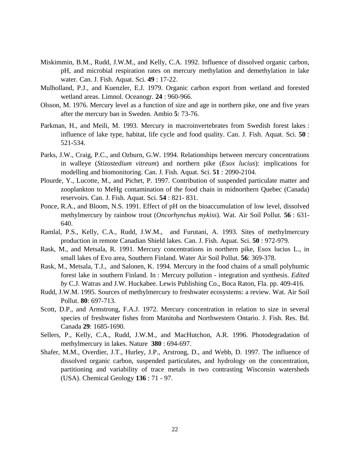- Miskimmin, B.M., Rudd, J.W.M., and Kelly, C.A. 1992. Influence of dissolved organic carbon, pH, and microbial respiration rates on mercury methylation and demethylation in lake water. Can. J. Fish. Aquat. Sci. **49** : 17-22.
- Mulholland, P.J., and Kuenzler, E.J. 1979. Organic carbon export from wetland and forested wetland areas. Limnol. Oceanogr. **24** : 960-966.
- Olsson, M. 1976. Mercury level as a function of size and age in northern pike, one and five years after the mercury ban in Sweden. Ambio **5**: 73-76.
- Parkman, H., and Meili, M. 1993. Mercury in macroinvertebrates from Swedish forest lakes : influence of lake type, habitat, life cycle and food quality. Can. J. Fish. Aquat. Sci. **50** : 521-534.
- Parks, J.W., Craig, P.C., and Ozburn, G.W. 1994. Relationships between mercury concentrations in walleye (*Stizostedium vitreum*) and northern pike (*Esox lucius*): implications for modelling and biomonitoring. Can. J. Fish. Aquat. Sci. **51** : 2090-2104.
- Plourde, Y., Lucotte, M., and Pichet, P. 1997. Contribution of suspended particulate matter and zooplankton to MeHg contamination of the food chain in midnorthern Quebec (Canada) reservoirs. Can. J. Fish. Aquat. Sci. **54** : 821- 831.
- Ponce, R.A., and Bloom, N.S. 1991. Effect of pH on the bioaccumulation of low level, dissolved methylmercury by rainbow trout (*Oncorhynchus mykiss*). Wat. Air Soil Pollut. **56** : 631- 640.
- Ramlal, P.S., Kelly, C.A., Rudd, J.W.M., and Furutani, A. 1993. Sites of methylmercury production in remote Canadian Shield lakes. Can. J. Fish. Aquat. Sci. **50** : 972-979.
- Rask, M., and Metsala, R. 1991. Mercury concentrations in northern pike, Esox lucius L., in small lakes of Evo area, Southern Finland. Water Air Soil Pollut. **56**: 369-378.
- Rask, M., Metsala, T.J., and Salonen, K. 1994. Mercury in the food chains of a small polyhumic forest lake in southern Finland. In : Mercury pollution - integration and synthesis. *Edited by* C.J. Watras and J.W. Huckabee. Lewis Publishing Co., Boca Raton, Fla. pp. 409-416.
- Rudd, J.W.M. 1995. Sources of methylmercury to freshwater ecosystems: a review. Wat. Air Soil Pollut. **80**: 697-713.
- Scott, D.P., and Armstrong, F.A.J. 1972. Mercury concentration in relation to size in several species of freshwater fishes from Manitoba and Northwestern Ontario. J. Fish. Res. Bd. Canada **29**: 1685-1690.
- Sellers, P., Kelly, C.A., Rudd, J.W.M., and MacHutchon, A.R. 1996. Photodegradation of methylmercury in lakes. Nature **380** : 694-697.
- Shafer, M.M., Overdier, J.T., Hurley, J.P., Arstrong, D., and Webb, D. 1997. The influence of dissolved organic carbon, suspended particulates, and hydrology on the concentration, partitioning and variability of trace metals in two contrasting Wisconsin watersheds (USA). Chemical Geology **136** : 71 - 97.